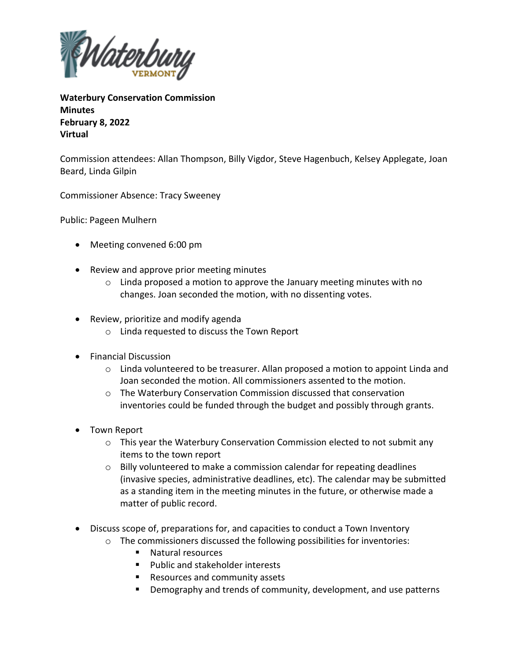

**Waterbury Conservation Commission Minutes February 8, 2022 Virtual**

Commission attendees: Allan Thompson, Billy Vigdor, Steve Hagenbuch, Kelsey Applegate, Joan Beard, Linda Gilpin

Commissioner Absence: Tracy Sweeney

Public: Pageen Mulhern

- Meeting convened 6:00 pm
- Review and approve prior meeting minutes
	- $\circ$  Linda proposed a motion to approve the January meeting minutes with no changes. Joan seconded the motion, with no dissenting votes.
- Review, prioritize and modify agenda
	- o Linda requested to discuss the Town Report
- Financial Discussion
	- $\circ$  Linda volunteered to be treasurer. Allan proposed a motion to appoint Linda and Joan seconded the motion. All commissioners assented to the motion.
	- $\circ$  The Waterbury Conservation Commission discussed that conservation inventories could be funded through the budget and possibly through grants.
- Town Report
	- $\circ$  This year the Waterbury Conservation Commission elected to not submit any items to the town report
	- o Billy volunteered to make a commission calendar for repeating deadlines (invasive species, administrative deadlines, etc). The calendar may be submitted as a standing item in the meeting minutes in the future, or otherwise made a matter of public record.
- Discuss scope of, preparations for, and capacities to conduct a Town Inventory
	- o The commissioners discussed the following possibilities for inventories:
		- Natural resources
		- Public and stakeholder interests
		- Resources and community assets
		- Demography and trends of community, development, and use patterns